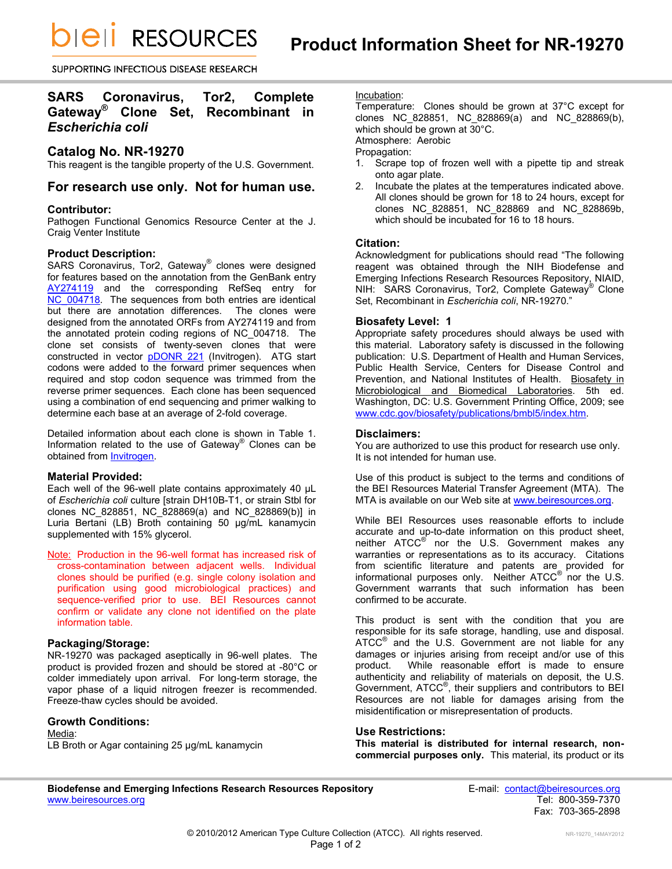*DIEII RESOURCES* 

SUPPORTING INFECTIOUS DISEASE RESEARCH

# **SARS Coronavirus, Tor2, Complete Gateway® Clone Set, Recombinant in**  *Escherichia coli*

# **Catalog No. NR-19270**

This reagent is the tangible property of the U.S. Government.

# **For research use only. Not for human use.**

## **Contributor:**

Pathogen Functional Genomics Resource Center at the J. Craig Venter Institute

## **Product Description:**

SARS Coronavirus, Tor2, Gateway® clones were designed for features based on the annotation from the GenBank entry [AY274119](http://www.ncbi.nlm.nih.gov/nuccore/30248028) and the corresponding RefSeq entry for [NC\\_004718.](http://www.ncbi.nlm.nih.gov/nuccore/30271926) The sequences from both entries are identical but there are annotation differences. The clones were designed from the annotated ORFs from AY274119 and from the annotated protein coding regions of NC\_004718. The clone set consists of twenty-seven clones that were constructed in vector **[pDONR 221](http://products.invitrogen.com/ivgn/product/12536017)** (Invitrogen). ATG start codons were added to the forward primer sequences when required and stop codon sequence was trimmed from the reverse primer sequences. Each clone has been sequenced using a combination of end sequencing and primer walking to determine each base at an average of 2-fold coverage.

Detailed information about each clone is shown in Table 1. Information related to the use of Gateway® Clones can be obtained fro[m Invitrogen.](http://www.invitrogen.com/site/us/en/home/Products-and-Services/Applications/Cloning/Gateway-Cloning/GatewayC-Misc/Online-Seminars.html)

## **Material Provided:**

Each well of the 96-well plate contains approximately 40 µL of *Escherichia coli* culture [strain DH10B-T1, or strain Stbl for clones NC\_828851, NC\_828869(a) and NC\_828869(b)] in Luria Bertani (LB) Broth containing 50 µg/mL kanamycin supplemented with 15% glycerol.

Note: Production in the 96-well format has increased risk of cross-contamination between adjacent wells. Individual clones should be purified (e.g. single colony isolation and purification using good microbiological practices) and sequence-verified prior to use. BEI Resources cannot confirm or validate any clone not identified on the plate information table.

## **Packaging/Storage:**

NR-19270 was packaged aseptically in 96-well plates. The product is provided frozen and should be stored at -80°C or colder immediately upon arrival. For long-term storage, the vapor phase of a liquid nitrogen freezer is recommended. Freeze-thaw cycles should be avoided.

#### **Growth Conditions:**

Media:

LB Broth or Agar containing 25 µg/mL kanamycin

# Incubation:

Temperature: Clones should be grown at 37°C except for clones NC\_828851, NC\_828869(a) and NC\_828869(b), which should be grown at 30°C. Atmosphere: Aerobic

# Propagation:

- 1. Scrape top of frozen well with a pipette tip and streak onto agar plate.
- 2. Incubate the plates at the temperatures indicated above. All clones should be grown for 18 to 24 hours, except for clones NC\_828851, NC\_828869 and NC\_828869b, which should be incubated for 16 to 18 hours.

## **Citation:**

Acknowledgment for publications should read "The following reagent was obtained through the NIH Biodefense and Emerging Infections Research Resources Repository, NIAID, NIH: SARS Coronavirus, Tor2, Complete Gateway® Clone Set, Recombinant in *Escherichia coli*, NR-19270."

## **Biosafety Level: 1**

Appropriate safety procedures should always be used with this material. Laboratory safety is discussed in the following publication: U.S. Department of Health and Human Services, Public Health Service, Centers for Disease Control and Prevention, and National Institutes of Health. Biosafety in Microbiological and Biomedical Laboratories. 5th ed. Washington, DC: U.S. Government Printing Office, 2009; see [www.cdc.gov/biosafety/publications/bmbl5/index.htm.](http://www.cdc.gov/biosafety/publications/bmbl5/index.htm)

### **Disclaimers:**

You are authorized to use this product for research use only. It is not intended for human use.

Use of this product is subject to the terms and conditions of the BEI Resources Material Transfer Agreement (MTA). The MTA is available on our Web site at [www.beiresources.org.](http://www.beiresources.org/)

While BEI Resources uses reasonable efforts to include accurate and up-to-date information on this product sheet, neither ATCC<sup>®</sup> nor the U.S. Government makes any warranties or representations as to its accuracy. Citations from scientific literature and patents are provided for informational purposes only. Neither  $\tt ATCC^@$  nor the U.S. Government warrants that such information has been confirmed to be accurate.

This product is sent with the condition that you are responsible for its safe storage, handling, use and disposal. ATCC<sup>®</sup> and the U.S. Government are not liable for any damages or injuries arising from receipt and/or use of this product. While reasonable effort is made to ensure authenticity and reliability of materials on deposit, the U.S. Government, ATCC® , their suppliers and contributors to BEI Resources are not liable for damages arising from the misidentification or misrepresentation of products.

#### **Use Restrictions:**

**This material is distributed for internal research, noncommercial purposes only.** This material, its product or its